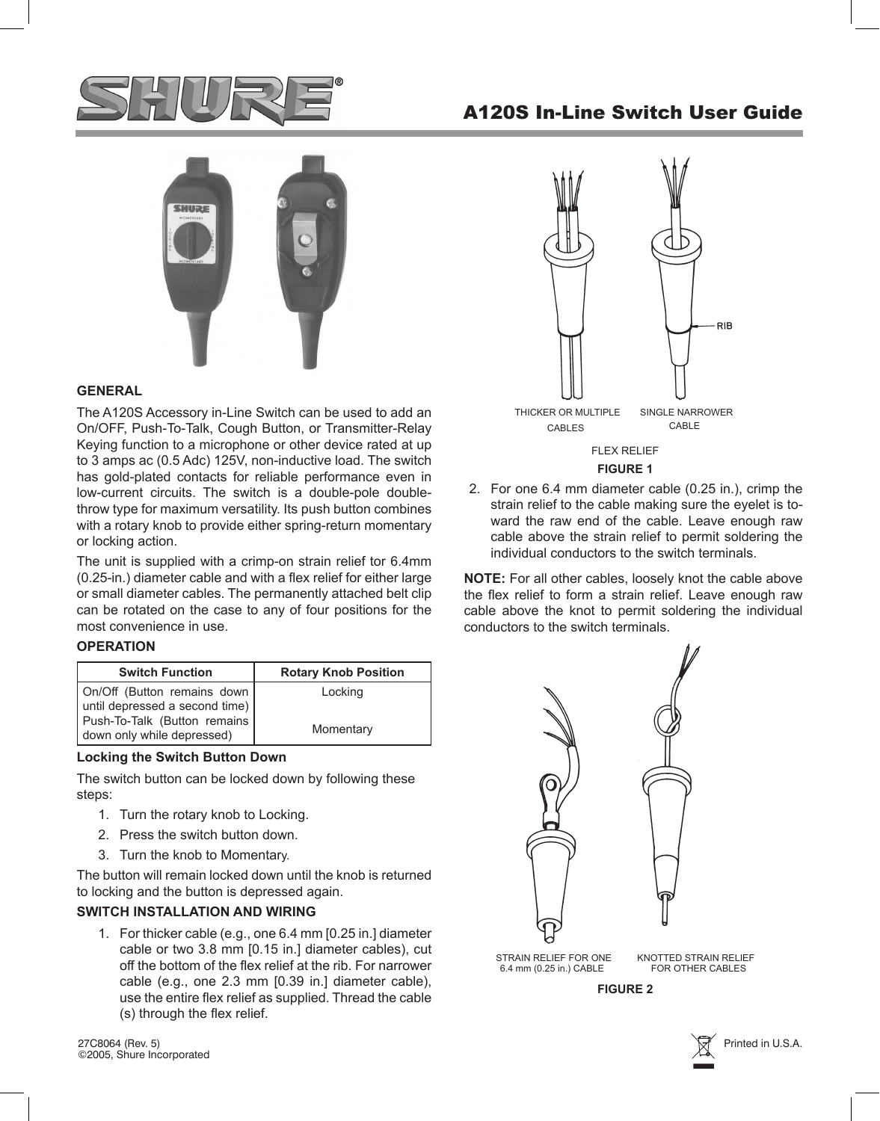

# A120S In-Line Switch User Guide



## **GENERAL**

The A120S Accessory in-Line Switch can be used to add an On/OFF, Push-To-Talk, Cough Button, or Transmitter-Relay Keying function to a microphone or other device rated at up to 3 amps ac (0.5 Adc) 125V, non-inductive load. The switch has gold-plated contacts for reliable performance even in low-current circuits. The switch is a double-pole doublethrow type for maximum versatility. Its push button combines with a rotary knob to provide either spring-return momentary or locking action.

The unit is supplied with a crimp-on strain relief tor 6.4mm (0.25-in.) diameter cable and with a flex relief for either large or small diameter cables. The permanently attached belt clip can be rotated on the case to any of four positions for the most convenience in use.

#### **OPERATION**

| <b>Switch Function</b>                                     | <b>Rotary Knob Position</b> |
|------------------------------------------------------------|-----------------------------|
| On/Off (Button remains down)                               | Locking                     |
| until depressed a second time)                             |                             |
| Push-To-Talk (Button remains<br>down only while depressed) | Momentary                   |

#### **Locking the Switch Button Down**

The switch button can be locked down by following these steps:

- 1. Turn the rotary knob to Locking.
- 2. Press the switch button down.
- 3. Turn the knob to Momentary.

The button will remain locked down until the knob is returned to locking and the button is depressed again.

## **SWITCH INSTALLATION AND WIRING**

For thicker cable (e.g., one 6.4 mm [0.25 in.] diameter 1. cable or two 3.8 mm [0.15 in.] diameter cables), cut off the bottom of the flex relief at the rib. For narrower cable (e.g., one 2.3 mm [0.39 in.] diameter cable), use the entire flex relief as supplied. Thread the cable (s) through the flex relief.

27C8064 (Rev. 5)  $\overline{\chi}^{\ast}$  Printed in U.S.A. ©2005, Shure Incorporated



**FIGURE 1**

2. For one 6.4 mm diameter cable (0.25 in.), crimp the strain relief to the cable making sure the eyelet is toward the raw end of the cable. Leave enough raw cable above the strain relief to permit soldering the individual conductors to the switch terminals.

**NOTE:** For all other cables, loosely knot the cable above the flex relief to form a strain relief. Leave enough raw cable above the knot to permit soldering the individual conductors to the switch terminals.



6.4 mm (0.25 in.) CABLE STRAIN RELIEF FOR ONE KNOTTED STRAIN RELIEF FOR OTHER CABLES

**FIGURE 2**